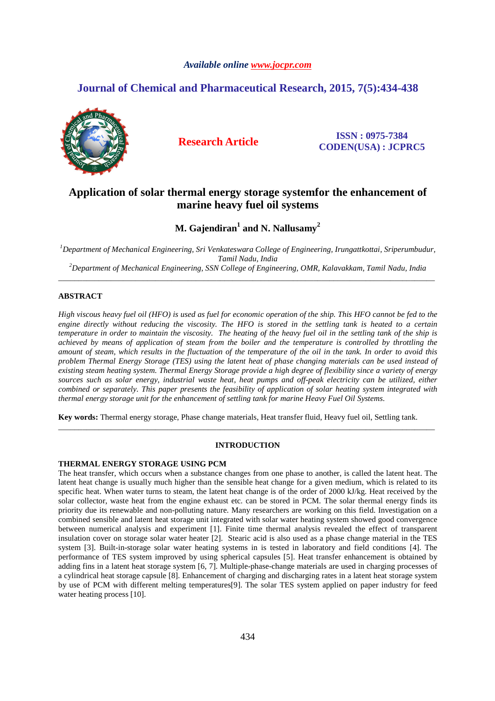# *Available online www.jocpr.com*

# **Journal of Chemical and Pharmaceutical Research, 2015, 7(5):434-438**



**Research Article ISSN : 0975-7384 CODEN(USA) : JCPRC5**

# **Application of solar thermal energy storage systemfor the enhancement of marine heavy fuel oil systems**

 $\mathbf{M}.$  Gajendiran $^{1}$  and  $\mathbf{N}.$  Nallusamy $^{2}$ 

*<sup>1</sup>Department of Mechanical Engineering, Sri Venkateswara College of Engineering, Irungattkottai, Sriperumbudur, Tamil Nadu, India* 

*<sup>2</sup>Department of Mechanical Engineering, SSN College of Engineering, OMR, Kalavakkam, Tamil Nadu, India*  \_\_\_\_\_\_\_\_\_\_\_\_\_\_\_\_\_\_\_\_\_\_\_\_\_\_\_\_\_\_\_\_\_\_\_\_\_\_\_\_\_\_\_\_\_\_\_\_\_\_\_\_\_\_\_\_\_\_\_\_\_\_\_\_\_\_\_\_\_\_\_\_\_\_\_\_\_\_\_\_\_\_\_\_\_\_\_\_\_\_\_\_\_

# **ABSTRACT**

*High viscous heavy fuel oil (HFO) is used as fuel for economic operation of the ship. This HFO cannot be fed to the engine directly without reducing the viscosity. The HFO is stored in the settling tank is heated to a certain temperature in order to maintain the viscosity. The heating of the heavy fuel oil in the settling tank of the ship is achieved by means of application of steam from the boiler and the temperature is controlled by throttling the amount of steam, which results in the fluctuation of the temperature of the oil in the tank. In order to avoid this problem Thermal Energy Storage (TES) using the latent heat of phase changing materials can be used instead of existing steam heating system. Thermal Energy Storage provide a high degree of flexibility since a variety of energy sources such as solar energy, industrial waste heat, heat pumps and off-peak electricity can be utilized, either combined or separately. This paper presents the feasibility of application of solar heating system integrated with thermal energy storage unit for the enhancement of settling tank for marine Heavy Fuel Oil Systems.* 

**Key words:** Thermal energy storage, Phase change materials, Heat transfer fluid, Heavy fuel oil, Settling tank.

### **INTRODUCTION**

\_\_\_\_\_\_\_\_\_\_\_\_\_\_\_\_\_\_\_\_\_\_\_\_\_\_\_\_\_\_\_\_\_\_\_\_\_\_\_\_\_\_\_\_\_\_\_\_\_\_\_\_\_\_\_\_\_\_\_\_\_\_\_\_\_\_\_\_\_\_\_\_\_\_\_\_\_\_\_\_\_\_\_\_\_\_\_\_\_\_\_\_\_

## **THERMAL ENERGY STORAGE USING PCM**

The heat transfer, which occurs when a substance changes from one phase to another, is called the latent heat. The latent heat change is usually much higher than the sensible heat change for a given medium, which is related to its specific heat. When water turns to steam, the latent heat change is of the order of 2000 kJ/kg. Heat received by the solar collector, waste heat from the engine exhaust etc. can be stored in PCM. The solar thermal energy finds its priority due its renewable and non-polluting nature. Many researchers are working on this field. Investigation on a combined sensible and latent heat storage unit integrated with solar water heating system showed good convergence between numerical analysis and experiment [1]. Finite time thermal analysis revealed the effect of transparent insulation cover on storage solar water heater [2]. Stearic acid is also used as a phase change material in the TES system [3]. Built-in-storage solar water heating systems in is tested in laboratory and field conditions [4]. The performance of TES system improved by using spherical capsules [5]. Heat transfer enhancement is obtained by adding fins in a latent heat storage system [6, 7]. Multiple-phase-change materials are used in charging processes of a cylindrical heat storage capsule [8]. Enhancement of charging and discharging rates in a latent heat storage system by use of PCM with different melting temperatures[9]. The solar TES system applied on paper industry for feed water heating process [10].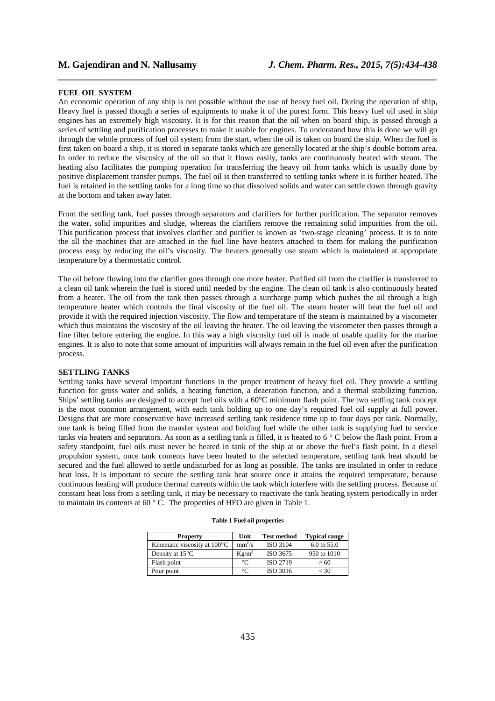#### **FUEL OIL SYSTEM**

An economic operation of any ship is not possible without the use of heavy fuel oil. During the operation of ship, Heavy fuel is passed though a series of equipments to make it of the purest form. This heavy fuel oil used in ship engines has an extremely high viscosity. It is for this reason that the oil when on board ship, is passed through a series of settling and purification processes to make it usable for engines. To understand how this is done we will go through the whole process of fuel oil system from the start, when the oil is taken on board the ship. When the fuel is first taken on board a ship, it is stored in separate tanks which are generally located at the ship's double bottom area. In order to reduce the viscosity of the oil so that it flows easily, tanks are continuously heated with steam. The heating also facilitates the pumping operation for transferring the heavy oil from tanks which is usually done by positive displacement transfer pumps. The fuel oil is then transferred to settling tanks where it is further heated. The fuel is retained in the settling tanks for a long time so that dissolved solids and water can settle down through gravity at the bottom and taken away later.

*\_\_\_\_\_\_\_\_\_\_\_\_\_\_\_\_\_\_\_\_\_\_\_\_\_\_\_\_\_\_\_\_\_\_\_\_\_\_\_\_\_\_\_\_\_\_\_\_\_\_\_\_\_\_\_\_\_\_\_\_\_\_\_\_\_\_\_\_\_\_\_\_\_\_\_\_\_\_*

From the settling tank, fuel passes through separators and clarifiers for further purification. The separator removes the water, solid impurities and sludge, whereas the clarifiers remove the remaining solid impurities from the oil. This purification process that involves clarifier and purifier is known as 'two-stage cleaning' process. It is to note the all the machines that are attached in the fuel line have heaters attached to them for making the purification process easy by reducing the oil's viscosity. The heaters generally use steam which is maintained at appropriate temperature by a thermostatic control.

The oil before flowing into the clarifier goes through one more heater. Purified oil from the clarifier is transferred to a clean oil tank wherein the fuel is stored until needed by the engine. The clean oil tank is also continuously heated from a heater. The oil from the tank then passes through a surcharge pump which pushes the oil through a high temperature heater which controls the final viscosity of the fuel oil. The steam heater will heat the fuel oil and provide it with the required injection viscosity. The flow and temperature of the steam is maintained by a viscometer which thus maintains the viscosity of the oil leaving the heater. The oil leaving the viscometer then passes through a fine filter before entering the engine. In this way a high viscosity fuel oil is made of usable quality for the marine engines. It is also to note that some amount of impurities will always remain in the fuel oil even after the purification process.

### **SETTLING TANKS**

Settling tanks have several important functions in the proper treatment of heavy fuel oil. They provide a settling function for gross water and solids, a heating function, a deaeration function, and a thermal stabilizing function. Ships' settling tanks are designed to accept fuel oils with a 60°C minimum flash point. The two settling tank concept is the most common arrangement, with each tank holding up to one day's required fuel oil supply at full power. Designs that are more conservative have increased settling tank residence time up to four days per tank. Normally, one tank is being filled from the transfer system and holding fuel while the other tank is supplying fuel to service tanks via heaters and separators. As soon as a settling tank is filled, it is heated to 6 ° C below the flash point. From a safety standpoint, fuel oils must never be heated in tank of the ship at or above the fuel's flash point. In a diesel propulsion system, once tank contents have been heated to the selected temperature, settling tank heat should be secured and the fuel allowed to settle undisturbed for as long as possible. The tanks are insulated in order to reduce heat loss. It is important to secure the settling tank heat source once it attains the required temperature, because continuous heating will produce thermal currents within the tank which interfere with the settling process. Because of constant heat loss from a settling tank, it may be necessary to reactivate the tank heating system periodically in order to maintain its contents at 60 ° C. The properties of HFO are given in Table 1.

| <b>Property</b>              | Unit      | <b>Test method</b> | <b>Typical range</b>   |
|------------------------------|-----------|--------------------|------------------------|
| Kinematic viscosity at 100°C | $mm^2/s$  | ISO 3104           | $6.0 \text{ to } 55.0$ |
| Density at $15^{\circ}$ C    | $Kg/m^3$  | ISO 3675           | 950 to 1010            |
| Flash point                  | $\Gamma$  | <b>ISO 2719</b>    | > 60                   |
| Pour point                   | $\circ$ C | ISO 3016           | $<$ 30                 |

|  |  |  |  | Table 1 Fuel oil properties |
|--|--|--|--|-----------------------------|
|--|--|--|--|-----------------------------|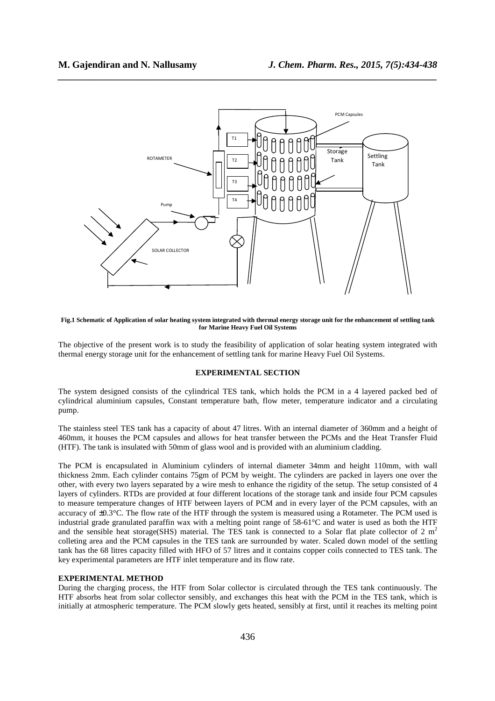

*\_\_\_\_\_\_\_\_\_\_\_\_\_\_\_\_\_\_\_\_\_\_\_\_\_\_\_\_\_\_\_\_\_\_\_\_\_\_\_\_\_\_\_\_\_\_\_\_\_\_\_\_\_\_\_\_\_\_\_\_\_\_\_\_\_\_\_\_\_\_\_\_\_\_\_\_\_\_*

**Fig.1 Schematic of Application of solar heating system integrated with thermal energy storage unit for the enhancement of settling tank for Marine Heavy Fuel Oil Systems** 

The objective of the present work is to study the feasibility of application of solar heating system integrated with thermal energy storage unit for the enhancement of settling tank for marine Heavy Fuel Oil Systems.

# **EXPERIMENTAL SECTION**

The system designed consists of the cylindrical TES tank, which holds the PCM in a 4 layered packed bed of cylindrical aluminium capsules, Constant temperature bath, flow meter, temperature indicator and a circulating pump.

The stainless steel TES tank has a capacity of about 47 litres. With an internal diameter of 360mm and a height of 460mm, it houses the PCM capsules and allows for heat transfer between the PCMs and the Heat Transfer Fluid (HTF). The tank is insulated with 50mm of glass wool and is provided with an aluminium cladding.

The PCM is encapsulated in Aluminium cylinders of internal diameter 34mm and height 110mm, with wall thickness 2mm. Each cylinder contains 75gm of PCM by weight. The cylinders are packed in layers one over the other, with every two layers separated by a wire mesh to enhance the rigidity of the setup. The setup consisted of 4 layers of cylinders. RTDs are provided at four different locations of the storage tank and inside four PCM capsules to measure temperature changes of HTF between layers of PCM and in every layer of the PCM capsules, with an accuracy of ±0.3°C. The flow rate of the HTF through the system is measured using a Rotameter. The PCM used is industrial grade granulated paraffin wax with a melting point range of 58-61°C and water is used as both the HTF and the sensible heat storage(SHS) material. The TES tank is connected to a Solar flat plate collector of 2  $m<sup>2</sup>$ colleting area and the PCM capsules in the TES tank are surrounded by water. Scaled down model of the settling tank has the 68 litres capacity filled with HFO of 57 litres and it contains copper coils connected to TES tank. The key experimental parameters are HTF inlet temperature and its flow rate.

#### **EXPERIMENTAL METHOD**

During the charging process, the HTF from Solar collector is circulated through the TES tank continuously. The HTF absorbs heat from solar collector sensibly, and exchanges this heat with the PCM in the TES tank, which is initially at atmospheric temperature. The PCM slowly gets heated, sensibly at first, until it reaches its melting point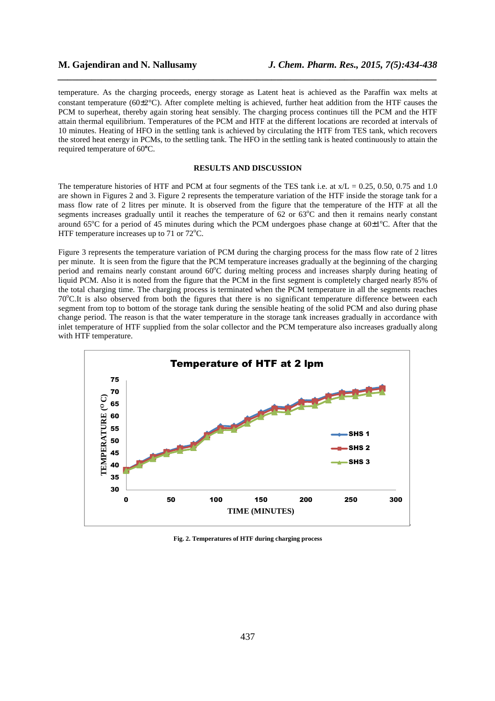temperature. As the charging proceeds, energy storage as Latent heat is achieved as the Paraffin wax melts at constant temperature ( $60\pm2^{\circ}$ C). After complete melting is achieved, further heat addition from the HTF causes the PCM to superheat, thereby again storing heat sensibly. The charging process continues till the PCM and the HTF attain thermal equilibrium. Temperatures of the PCM and HTF at the different locations are recorded at intervals of 10 minutes. Heating of HFO in the settling tank is achieved by circulating the HTF from TES tank, which recovers the stored heat energy in PCMs, to the settling tank. The HFO in the settling tank is heated continuously to attain the required temperature of 60**<sup>o</sup>**C.

*\_\_\_\_\_\_\_\_\_\_\_\_\_\_\_\_\_\_\_\_\_\_\_\_\_\_\_\_\_\_\_\_\_\_\_\_\_\_\_\_\_\_\_\_\_\_\_\_\_\_\_\_\_\_\_\_\_\_\_\_\_\_\_\_\_\_\_\_\_\_\_\_\_\_\_\_\_\_*

# **RESULTS AND DISCUSSION**

The temperature histories of HTF and PCM at four segments of the TES tank i.e. at  $x/L = 0.25$ , 0.50, 0.75 and 1.0 are shown in Figures 2 and 3. Figure 2 represents the temperature variation of the HTF inside the storage tank for a mass flow rate of 2 litres per minute. It is observed from the figure that the temperature of the HTF at all the segments increases gradually until it reaches the temperature of  $62$  or  $63^{\circ}$ C and then it remains nearly constant around  $65^{\circ}$ C for a period of 45 minutes during which the PCM undergoes phase change at  $60\pm1^{\circ}$ C. After that the HTF temperature increases up to  $71$  or  $72^{\circ}$ C.

Figure 3 represents the temperature variation of PCM during the charging process for the mass flow rate of 2 litres per minute. It is seen from the figure that the PCM temperature increases gradually at the beginning of the charging period and remains nearly constant around 60°C during melting process and increases sharply during heating of liquid PCM. Also it is noted from the figure that the PCM in the first segment is completely charged nearly 85% of the total charging time. The charging process is terminated when the PCM temperature in all the segments reaches 70<sup>o</sup>C.It is also observed from both the figures that there is no significant temperature difference between each segment from top to bottom of the storage tank during the sensible heating of the solid PCM and also during phase change period. The reason is that the water temperature in the storage tank increases gradually in accordance with inlet temperature of HTF supplied from the solar collector and the PCM temperature also increases gradually along with HTF temperature.



**Fig. 2. Temperatures of HTF during charging process**